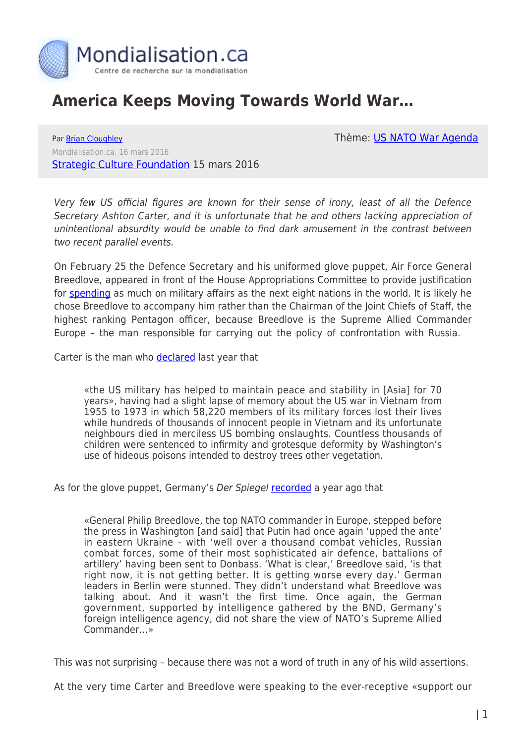

## **America Keeps Moving Towards World War…**

Thème: [US NATO War Agenda](https://www.mondialisation.ca/theme/us-nato-war-agenda)

Par [Brian Cloughley](https://www.mondialisation.ca/author/brian-cloughley) Mondialisation.ca, 16 mars 2016 [Strategic Culture Foundation](http://www.strategic-culture.org/news/2016/03/15/america-keeps-moving-towards-war.html) 15 mars 2016

Very few US official figures are known for their sense of irony, least of all the Defence Secretary Ashton Carter, and it is unfortunate that he and others lacking appreciation of unintentional absurdity would be unable to find dark amusement in the contrast between two recent parallel events.

On February 25 the Defence Secretary and his uniformed glove puppet, Air Force General Breedlove, appeared in front of the House Appropriations Committee to provide justification for [spending](https://www.washingtonpost.com/news/the-fix/wp/2016/01/12/what-obama-said-in-his-state-of-the-union-address-and-what-it-meant/?hpid=hp_rhp-top-table-main_transcript-945pm%3Ahomepage%2Fstory) as much on military affairs as the next eight nations in the world. It is likely he chose Breedlove to accompany him rather than the Chairman of the Joint Chiefs of Staff, the highest ranking Pentagon officer, because Breedlove is the Supreme Allied Commander Europe – the man responsible for carrying out the policy of confrontation with Russia.

Carter is the man who [declared](http://www.defense.gov/News-Article-View/Article/628082/carter-praises-uss-theodore-roosevelts-crew-members) last year that

«the US military has helped to maintain peace and stability in [Asia] for 70 years», having had a slight lapse of memory about the US war in Vietnam from 1955 to 1973 in which 58,220 members of its military forces lost their lives while hundreds of thousands of innocent people in Vietnam and its unfortunate neighbours died in merciless US bombing onslaughts. Countless thousands of children were sentenced to infirmity and grotesque deformity by Washington's use of hideous poisons intended to destroy trees other vegetation.

As for the glove puppet, Germany's Der Spiegel [recorded](http://www.spiegel.de/international/world/germany-concerned-about-aggressive-nato-stance-on-ukraine-a-1022193.html) a year ago that

«General Philip Breedlove, the top NATO commander in Europe, stepped before the press in Washington [and said] that Putin had once again 'upped the ante' in eastern Ukraine – with 'well over a thousand combat vehicles, Russian combat forces, some of their most sophisticated air defence, battalions of artillery' having been sent to Donbass. 'What is clear,' Breedlove said, 'is that right now, it is not getting better. It is getting worse every day.' German leaders in Berlin were stunned. They didn't understand what Breedlove was talking about. And it wasn't the first time. Once again, the German government, supported by intelligence gathered by the BND, Germany's foreign intelligence agency, did not share the view of NATO's Supreme Allied Commander…»

This was not surprising – because there was not a word of truth in any of his wild assertions.

At the very time Carter and Breedlove were speaking to the ever-receptive «support our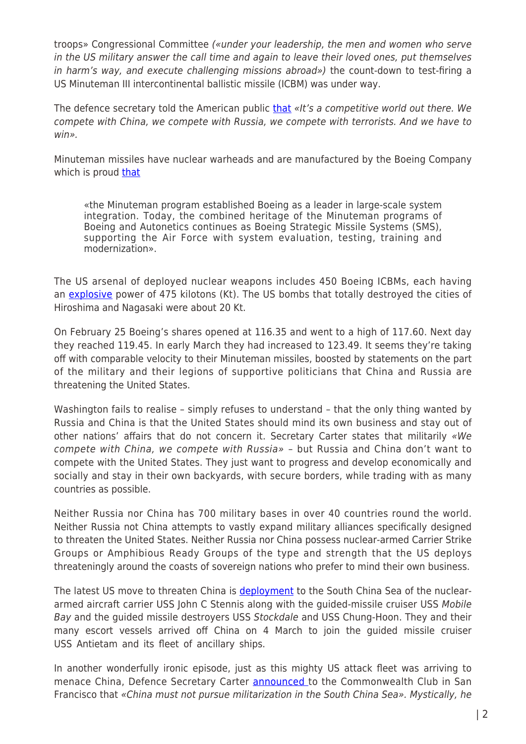troops» Congressional Committee («under your leadership, the men and women who serve in the US military answer the call time and again to leave their loved ones, put themselves in harm's way, and execute challenging missions abroad») the count-down to test-firing a US Minuteman III intercontinental ballistic missile (ICBM) was under way.

The defence secretary told the American public [that](http://transcripts.cnn.com/TRANSCRIPTS/1601/24/fzgps.01.html) «It's a competitive world out there. We compete with China, we compete with Russia, we compete with terrorists. And we have to win».

Minuteman missiles have nuclear warheads and are manufactured by the Boeing Company which is proud [that](http://www.boeing.com/history/products/lgm-30-minuteman.page)

«the Minuteman program established Boeing as a leader in large-scale system integration. Today, the combined heritage of the Minuteman programs of Boeing and Autonetics continues as Boeing Strategic Missile Systems (SMS), supporting the Air Force with system evaluation, testing, training and modernization».

The US arsenal of deployed nuclear weapons includes 450 Boeing ICBMs, each having an [explosive](https://www.fas.org/sgp/crs/nuke/RL33640.pdf) power of 475 kilotons (Kt). The US bombs that totally destroyed the cities of Hiroshima and Nagasaki were about 20 Kt.

On February 25 Boeing's shares opened at 116.35 and went to a high of 117.60. Next day they reached 119.45. In early March they had increased to 123.49. It seems they're taking off with comparable velocity to their Minuteman missiles, boosted by statements on the part of the military and their legions of supportive politicians that China and Russia are threatening the United States.

Washington fails to realise – simply refuses to understand – that the only thing wanted by Russia and China is that the United States should mind its own business and stay out of other nations' affairs that do not concern it. Secretary Carter states that militarily «We compete with China, we compete with Russia» – but Russia and China don't want to compete with the United States. They just want to progress and develop economically and socially and stay in their own backyards, with secure borders, while trading with as many countries as possible.

Neither Russia nor China has 700 military bases in over 40 countries round the world. Neither Russia not China attempts to vastly expand military alliances specifically designed to threaten the United States. Neither Russia nor China possess nuclear-armed Carrier Strike Groups or Amphibious Ready Groups of the type and strength that the US deploys threateningly around the coasts of sovereign nations who prefer to mind their own business.

The latest US move to threaten China is **deployment** to the South China Sea of the nucleararmed aircraft carrier USS John C Stennis along with the guided-missile cruiser USS Mobile Bay and the guided missile destroyers USS Stockdale and USS Chung-Hoon. They and their many escort vessels arrived off China on 4 March to join the guided missile cruiser USS Antietam and its fleet of ancillary ships.

In another wonderfully ironic episode, just as this mighty US attack fleet was arriving to menace China, Defence Secretary Carter [announced](http://www.presstv.ir/Detail/2016/03/02/453415/US-defense-chief-) to the Commonwealth Club in San Francisco that «China must not pursue militarization in the South China Sea». Mystically, he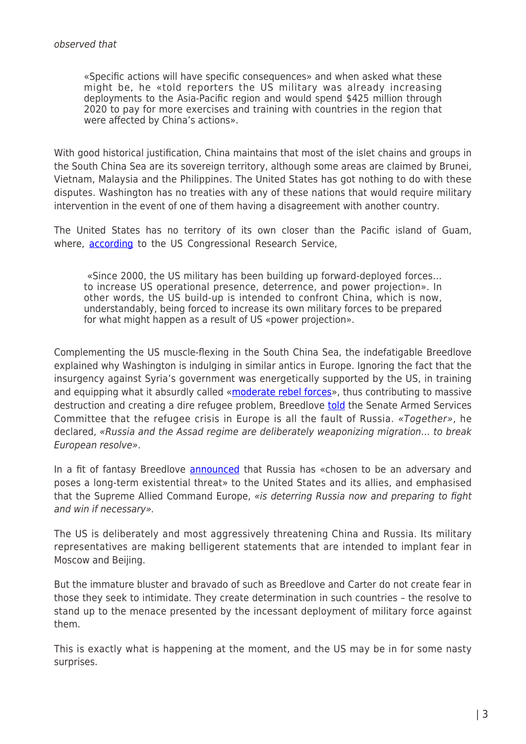«Specific actions will have specific consequences» and when asked what these might be, he «told reporters the US military was already increasing deployments to the Asia-Pacific region and would spend \$425 million through 2020 to pay for more exercises and training with countries in the region that were affected by China's actions».

With good historical justification, China maintains that most of the islet chains and groups in the South China Sea are its sovereign territory, although some areas are claimed by Brunei, Vietnam, Malaysia and the Philippines. The United States has got nothing to do with these disputes. Washington has no treaties with any of these nations that would require military intervention in the event of one of them having a disagreement with another country.

The United States has no territory of its own closer than the Pacific island of Guam, where, **according** to the US Congressional Research Service,

«Since 2000, the US military has been building up forward-deployed forces… to increase US operational presence, deterrence, and power projection». In other words, the US build-up is intended to confront China, which is now, understandably, being forced to increase its own military forces to be prepared for what might happen as a result of US «power projection».

Complementing the US muscle-flexing in the South China Sea, the indefatigable Breedlove explained why Washington is indulging in similar antics in Europe. Ignoring the fact that the insurgency against Syria's government was energetically supported by the US, in training and equipping what it absurdly called «[moderate rebel forces»](http://edition.cnn.com/2015/10/09/politics/us-syria-rebels-arms-program-suspended/), thus contributing to massive destruction and creating a dire refugee problem, Breedlove [told](http://www.ibtimes.com/russian-airstrikes-syria-are-helping-isis-terrorists-europe-us-air-force-general-2328259) the Senate Armed Services Committee that the refugee crisis in Europe is all the fault of Russia. «Together», he declared, «Russia and the Assad regime are deliberately weaponizing migration… to break European resolve».

In a fit of fantasy Breedlove [announced](http://www.defense.gov/News-Article-View/Article/673338/breedlove-russia-instability-threaten-us-european-security-interests) that Russia has «chosen to be an adversary and poses a long-term existential threat» to the United States and its allies, and emphasised that the Supreme Allied Command Europe, «is deterring Russia now and preparing to fight and win if necessary».

The US is deliberately and most aggressively threatening China and Russia. Its military representatives are making belligerent statements that are intended to implant fear in Moscow and Beijing.

But the immature bluster and bravado of such as Breedlove and Carter do not create fear in those they seek to intimidate. They create determination in such countries – the resolve to stand up to the menace presented by the incessant deployment of military force against them.

This is exactly what is happening at the moment, and the US may be in for some nasty surprises.